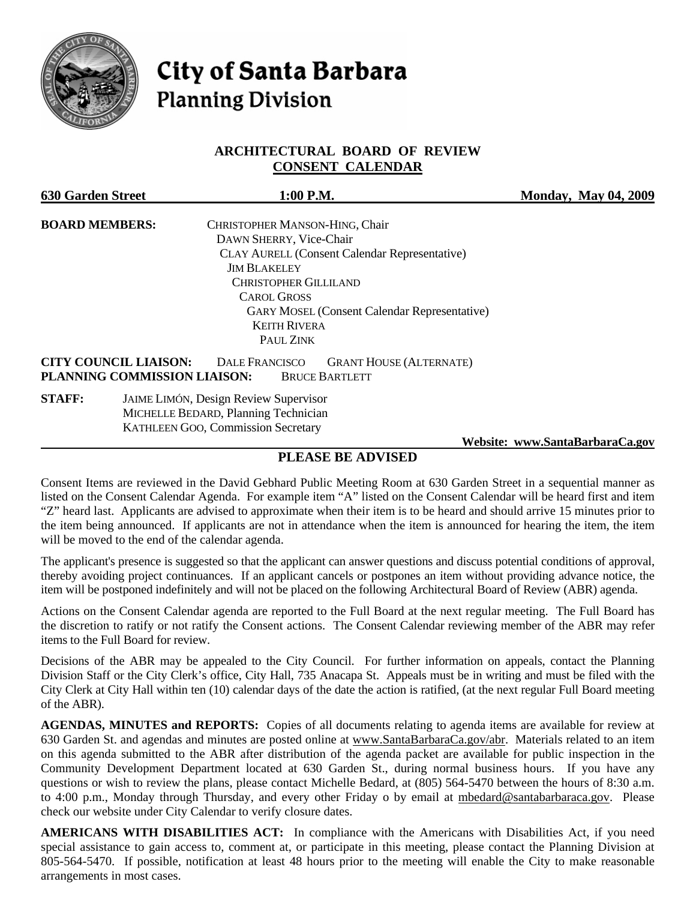

# **City of Santa Barbara Planning Division**

# **ARCHITECTURAL BOARD OF REVIEW CONSENT CALENDAR**

| <b>630 Garden Street</b> | 1:00 P.M.                                                                                                                                        | <b>Monday, May 04, 2009</b> |
|--------------------------|--------------------------------------------------------------------------------------------------------------------------------------------------|-----------------------------|
| <b>BOARD MEMBERS:</b>    | CHRISTOPHER MANSON-HING, Chair                                                                                                                   |                             |
|                          | DAWN SHERRY, Vice-Chair                                                                                                                          |                             |
|                          | <b>CLAY AURELL (Consent Calendar Representative)</b>                                                                                             |                             |
| <b>JIM BLAKELEY</b>      |                                                                                                                                                  |                             |
|                          | <b>CHRISTOPHER GILLILAND</b>                                                                                                                     |                             |
|                          | <b>CAROL GROSS</b>                                                                                                                               |                             |
|                          | <b>GARY MOSEL (Consent Calendar Representative)</b>                                                                                              |                             |
|                          | <b>KEITH RIVERA</b>                                                                                                                              |                             |
|                          | PAUL ZINK                                                                                                                                        |                             |
|                          | <b>CITY COUNCIL LIAISON:</b><br><b>GRANT HOUSE (ALTERNATE)</b><br><b>DALE FRANCISCO</b><br>PLANNING COMMISSION LIAISON:<br><b>BRUCE BARTLETT</b> |                             |
| <b>STAFF:</b>            |                                                                                                                                                  |                             |
|                          | <b>KATHLEEN GOO, Commission Secretary</b>                                                                                                        |                             |

 **Website: [www.SantaBarbaraCa.gov](http://www.santabarbaraca.gov/)**

# **PLEASE BE ADVISED**

Consent Items are reviewed in the David Gebhard Public Meeting Room at 630 Garden Street in a sequential manner as listed on the Consent Calendar Agenda. For example item "A" listed on the Consent Calendar will be heard first and item "Z" heard last. Applicants are advised to approximate when their item is to be heard and should arrive 15 minutes prior to the item being announced. If applicants are not in attendance when the item is announced for hearing the item, the item will be moved to the end of the calendar agenda.

The applicant's presence is suggested so that the applicant can answer questions and discuss potential conditions of approval, thereby avoiding project continuances. If an applicant cancels or postpones an item without providing advance notice, the item will be postponed indefinitely and will not be placed on the following Architectural Board of Review (ABR) agenda.

Actions on the Consent Calendar agenda are reported to the Full Board at the next regular meeting. The Full Board has the discretion to ratify or not ratify the Consent actions. The Consent Calendar reviewing member of the ABR may refer items to the Full Board for review.

Decisions of the ABR may be appealed to the City Council. For further information on appeals, contact the Planning Division Staff or the City Clerk's office, City Hall, 735 Anacapa St. Appeals must be in writing and must be filed with the City Clerk at City Hall within ten (10) calendar days of the date the action is ratified, (at the next regular Full Board meeting of the ABR).

**AGENDAS, MINUTES and REPORTS:** Copies of all documents relating to agenda items are available for review at 630 Garden St. and agendas and minutes are posted online at [www.SantaBarbaraCa.gov/abr.](http://www.santabarbaraca.gov/abr) Materials related to an item on this agenda submitted to the ABR after distribution of the agenda packet are available for public inspection in the Community Development Department located at 630 Garden St., during normal business hours. If you have any questions or wish to review the plans, please contact Michelle Bedard, at (805) 564-5470 between the hours of 8:30 a.m. to 4:00 p.m., Monday through Thursday, and every other Friday o by email at [mbedard@santabarbaraca.gov](mailto:mbedard@santabarbaraca.gov). Please check our website under City Calendar to verify closure dates.

**AMERICANS WITH DISABILITIES ACT:** In compliance with the Americans with Disabilities Act, if you need special assistance to gain access to, comment at, or participate in this meeting, please contact the Planning Division at 805-564-5470. If possible, notification at least 48 hours prior to the meeting will enable the City to make reasonable arrangements in most cases.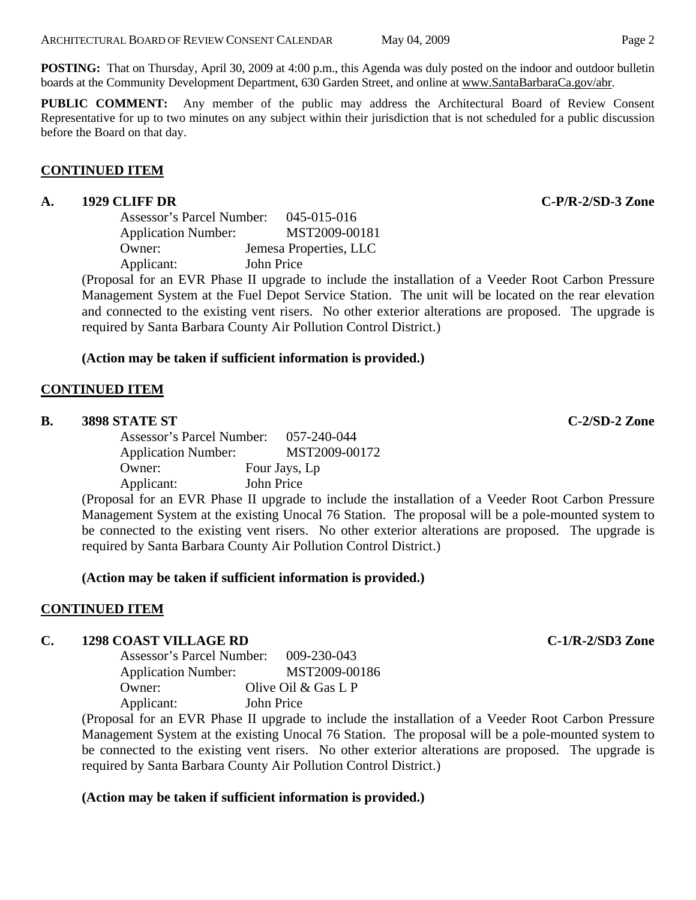**POSTING:** That on Thursday, April 30, 2009 at 4:00 p.m., this Agenda was duly posted on the indoor and outdoor bulletin boards at the Community Development Department, 630 Garden Street, and online at [www.SantaBarbaraCa.gov/abr](http://www.santabarbaraca.gov/abr).

**PUBLIC COMMENT:** Any member of the public may address the Architectural Board of Review Consent Representative for up to two minutes on any subject within their jurisdiction that is not scheduled for a public discussion before the Board on that day.

#### **CONTINUED ITEM**

#### **A. 1929 CLIFF DR C-P/R-2/SD-3 Zone**

| Assessor's Parcel Number:                               | 045-015-016            |
|---------------------------------------------------------|------------------------|
| <b>Application Number:</b>                              | MST2009-00181          |
| Owner:                                                  | Jemesa Properties, LLC |
| Applicant:                                              | John Price             |
| $\sim$ $\sim$ $\sim$ $\sim$ $\sim$ $\sim$<br>$\sqrt{ }$ | TT 1.1.1.1.1           |

(Proposal for an EVR Phase II upgrade to include the installation of a Veeder Root Carbon Pressure Management System at the Fuel Depot Service Station. The unit will be located on the rear elevation and connected to the existing vent risers. No other exterior alterations are proposed. The upgrade is required by Santa Barbara County Air Pollution Control District.)

## **(Action may be taken if sufficient information is provided.)**

#### **CONTINUED ITEM**

#### **B. 3898 STATE ST C-2/SD-2 Zone**

| Assessor's Parcel Number:  | 057-240-044   |
|----------------------------|---------------|
| <b>Application Number:</b> | MST2009-00172 |
| Owner:                     | Four Jays, Lp |
| Applicant:                 | John Price    |
|                            |               |

(Proposal for an EVR Phase II upgrade to include the installation of a Veeder Root Carbon Pressure Management System at the existing Unocal 76 Station. The proposal will be a pole-mounted system to be connected to the existing vent risers. No other exterior alterations are proposed. The upgrade is required by Santa Barbara County Air Pollution Control District.)

## **(Action may be taken if sufficient information is provided.)**

## **CONTINUED ITEM**

#### **C. 1298 COAST VILLAGE RD C-1/R-2/SD3 Zone**

Assessor's Parcel Number: 009-230-043 Application Number: MST2009-00186 Owner: Olive Oil & Gas L P Applicant: John Price

(Proposal for an EVR Phase II upgrade to include the installation of a Veeder Root Carbon Pressure Management System at the existing Unocal 76 Station. The proposal will be a pole-mounted system to be connected to the existing vent risers. No other exterior alterations are proposed. The upgrade is required by Santa Barbara County Air Pollution Control District.)

## **(Action may be taken if sufficient information is provided.)**